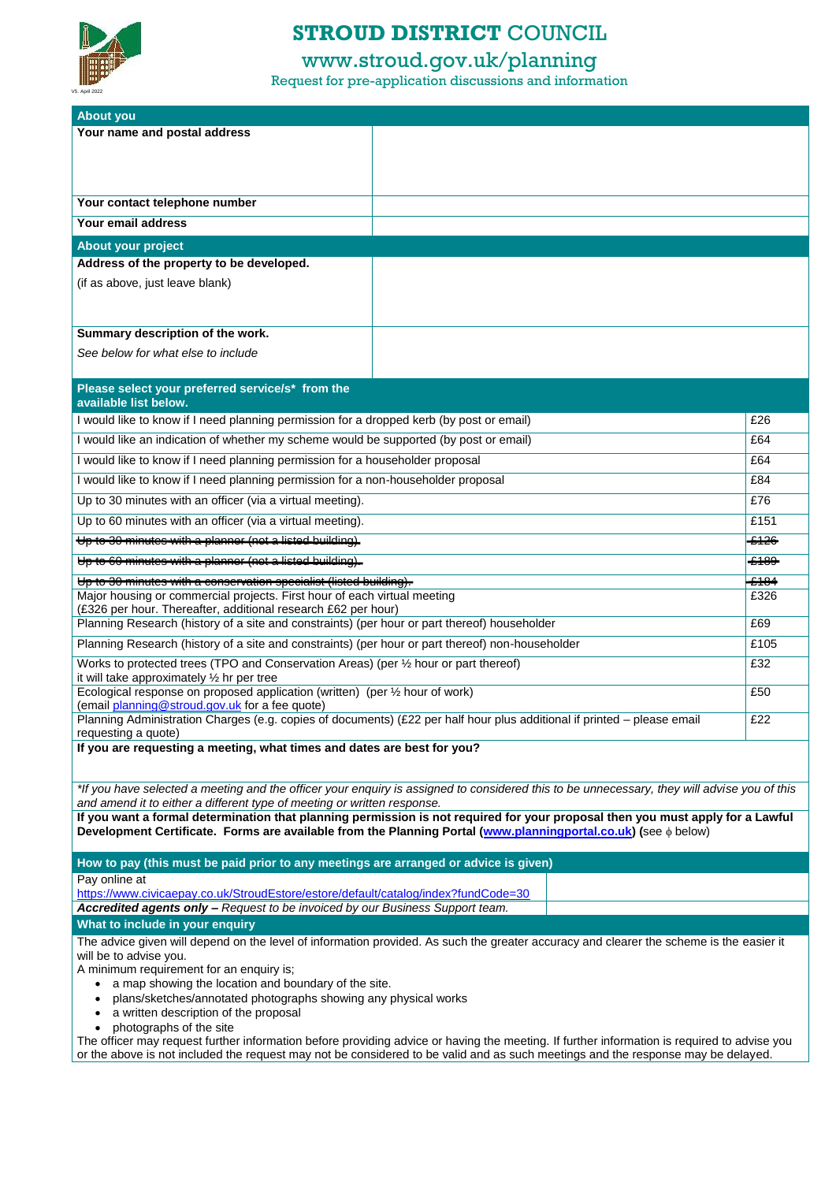# **STROUD DISTRICT** COUNCIL

## www.stroud.gov.uk/planning

| <b>About you</b>                                                                                                                                              |                                                                                                                                             |                  |  |
|---------------------------------------------------------------------------------------------------------------------------------------------------------------|---------------------------------------------------------------------------------------------------------------------------------------------|------------------|--|
| Your name and postal address                                                                                                                                  |                                                                                                                                             |                  |  |
|                                                                                                                                                               |                                                                                                                                             |                  |  |
|                                                                                                                                                               |                                                                                                                                             |                  |  |
|                                                                                                                                                               |                                                                                                                                             |                  |  |
| Your contact telephone number                                                                                                                                 |                                                                                                                                             |                  |  |
| Your email address                                                                                                                                            |                                                                                                                                             |                  |  |
| About your project                                                                                                                                            |                                                                                                                                             |                  |  |
| Address of the property to be developed.                                                                                                                      |                                                                                                                                             |                  |  |
| (if as above, just leave blank)                                                                                                                               |                                                                                                                                             |                  |  |
|                                                                                                                                                               |                                                                                                                                             |                  |  |
|                                                                                                                                                               |                                                                                                                                             |                  |  |
| Summary description of the work.                                                                                                                              |                                                                                                                                             |                  |  |
| See below for what else to include                                                                                                                            |                                                                                                                                             |                  |  |
|                                                                                                                                                               |                                                                                                                                             |                  |  |
| Please select your preferred service/s* from the<br>available list below.                                                                                     |                                                                                                                                             |                  |  |
| I would like to know if I need planning permission for a dropped kerb (by post or email)                                                                      |                                                                                                                                             | £26              |  |
| would like an indication of whether my scheme would be supported (by post or email)                                                                           |                                                                                                                                             | £64              |  |
| I would like to know if I need planning permission for a householder proposal                                                                                 |                                                                                                                                             | £64              |  |
| I would like to know if I need planning permission for a non-householder proposal                                                                             |                                                                                                                                             | £84              |  |
| Up to 30 minutes with an officer (via a virtual meeting).                                                                                                     |                                                                                                                                             | £76              |  |
| Up to 60 minutes with an officer (via a virtual meeting).                                                                                                     |                                                                                                                                             | £151             |  |
| Up to 30 minutes with a planner (not a licted building).                                                                                                      |                                                                                                                                             | <del>-2126</del> |  |
| Up to 60 minutes with a planner (not a listed building).                                                                                                      |                                                                                                                                             | £489             |  |
| Up to 30 minutes with a conservation specialist (listed building).                                                                                            |                                                                                                                                             | £184             |  |
| Major housing or commercial projects. First hour of each virtual meeting                                                                                      |                                                                                                                                             | £326             |  |
| (£326 per hour. Thereafter, additional research £62 per hour)<br>Planning Research (history of a site and constraints) (per hour or part thereof) householder |                                                                                                                                             | £69              |  |
|                                                                                                                                                               |                                                                                                                                             | £105             |  |
| Planning Research (history of a site and constraints) (per hour or part thereof) non-householder                                                              |                                                                                                                                             |                  |  |
| Works to protected trees (TPO and Conservation Areas) (per $\frac{1}{2}$ hour or part thereof)<br>£32<br>it will take approximately $\frac{1}{2}$ hr per tree |                                                                                                                                             |                  |  |
| Ecological response on proposed application (written) (per 1/2 hour of work)                                                                                  |                                                                                                                                             | £50              |  |
| (email planning@stroud.gov.uk for a fee quote)                                                                                                                |                                                                                                                                             |                  |  |
| Planning Administration Charges (e.g. copies of documents) (£22 per half hour plus additional if printed - please email<br>requesting a quote)                |                                                                                                                                             | £22              |  |
| If you are requesting a meeting, what times and dates are best for you?                                                                                       |                                                                                                                                             |                  |  |
|                                                                                                                                                               |                                                                                                                                             |                  |  |
|                                                                                                                                                               | *If you have selected a meeting and the officer your enquiry is assigned to considered this to be unnecessary, they will advise you of this |                  |  |
| and amend it to either a different type of meeting or written response.                                                                                       |                                                                                                                                             |                  |  |
| If you want a formal determination that planning permission is not required for your proposal then you must apply for a Lawful                                |                                                                                                                                             |                  |  |
| Development Certificate. Forms are available from the Planning Portal (www.planningportal.co.uk) (see $\phi$ below)                                           |                                                                                                                                             |                  |  |
| How to pay (this must be paid prior to any meetings are arranged or advice is given)                                                                          |                                                                                                                                             |                  |  |
| Pay online at                                                                                                                                                 |                                                                                                                                             |                  |  |

Request for pre-application discussions and information



| https://www.civicaepay.co.uk/StroudEstore/estore/default/catalog/index?fundCode=30                                                                                                                                                                                                                                                                                                                           |  |  |  |
|--------------------------------------------------------------------------------------------------------------------------------------------------------------------------------------------------------------------------------------------------------------------------------------------------------------------------------------------------------------------------------------------------------------|--|--|--|
| <b>Accredited agents only – Request to be invoiced by our Business Support team.</b>                                                                                                                                                                                                                                                                                                                         |  |  |  |
| What to include in your enquiry                                                                                                                                                                                                                                                                                                                                                                              |  |  |  |
| The advice given will depend on the level of information provided. As such the greater accuracy and clearer the scheme is the easier it<br>will be to advise you.<br>A minimum requirement for an enquiry is;<br>a map showing the location and boundary of the site.<br>plans/sketches/annotated photographs showing any physical works<br>a written description of the proposal<br>photographs of the site |  |  |  |

The officer may request further information before providing advice or having the meeting. If further information is required to advise you or the above is not included the request may not be considered to be valid and as such meetings and the response may be delayed.